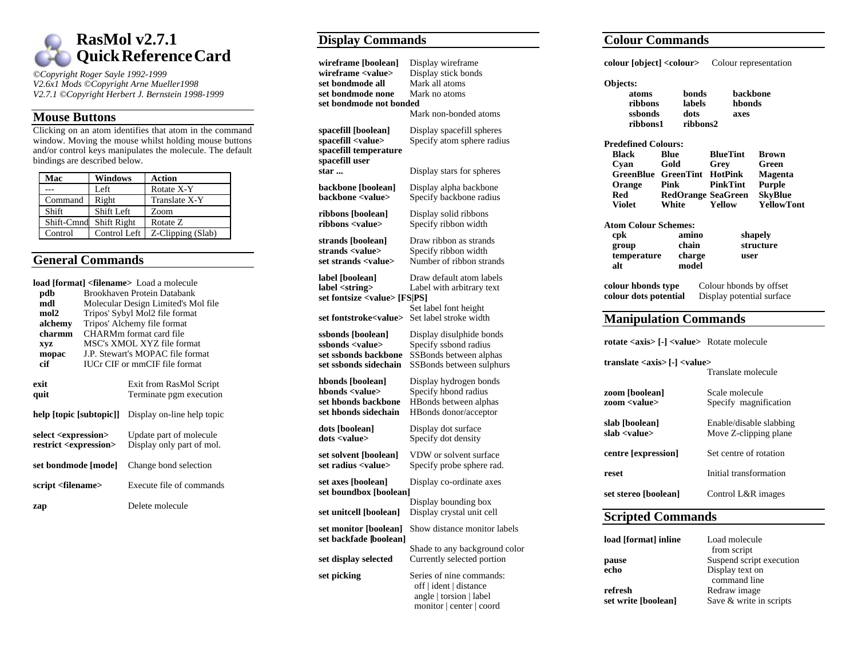

*©Copyright Roger Sayle 1992-1999 V2.6x1 Mods ©Copyright Arne Mueller1998 V2.7.1 ©Copyright Herbert J. Bernstein 1998-1999*

#### **Mouse Buttons**

Clicking on an atom identifies that atom in the command window. Moving the mouse whilst holding mouse buttons and/or control keys manipulates the molecule. The default bindings are described below.

| Mac        | <b>Windows</b> | <b>Action</b>     |
|------------|----------------|-------------------|
|            | Left           | Rotate X-Y        |
| Command    | Right          | Translate X-Y     |
| Shift      | Shift Left     | Zoom              |
| Shift-Cmnd | Shift Right    | Rotate Z          |
| Control    | Control Left   | Z-Clipping (Slab) |

#### **General Commands**

| pdb<br>mdl<br>mol2<br>alchemy<br>charmm<br><b>XVZ</b>                   | load [format] <filename> Load a molecule<br/>Brookhaven Protein Databank<br/>Molecular Design Limited's Mol file<br/>Tripos' Sybyl Mol2 file format<br/>Tripos' Alchemy file format<br/>CHARMm format card file<br/>MSC's XMOL XYZ file format</filename> |                                                      |
|-------------------------------------------------------------------------|-----------------------------------------------------------------------------------------------------------------------------------------------------------------------------------------------------------------------------------------------------------|------------------------------------------------------|
| mopac                                                                   | J.P. Stewart's MOPAC file format                                                                                                                                                                                                                          |                                                      |
| cif                                                                     | <b>IUCr CIF or mmCIF file format</b>                                                                                                                                                                                                                      |                                                      |
| exit<br>quit                                                            |                                                                                                                                                                                                                                                           | Exit from RasMol Script<br>Terminate pgm execution   |
| help [topic [subtopic]]                                                 |                                                                                                                                                                                                                                                           | Display on-line help topic                           |
| select <expression><br/>restrict <expression></expression></expression> |                                                                                                                                                                                                                                                           | Update part of molecule<br>Display only part of mol. |
| set bondmode [mode]                                                     |                                                                                                                                                                                                                                                           | Change bond selection                                |
| script <filename></filename>                                            |                                                                                                                                                                                                                                                           | Execute file of commands                             |
| zap                                                                     |                                                                                                                                                                                                                                                           | Delete molecule                                      |

### **Display Commands**

| wireframe [boolean]<br>wireframe <value><br/>set bondmode all<br/>set bondmode none<br/>set bondmode not bonded</value> | Display wireframe<br>Display stick bonds<br>Mark all atoms<br>Mark no atoms                               |
|-------------------------------------------------------------------------------------------------------------------------|-----------------------------------------------------------------------------------------------------------|
|                                                                                                                         | Mark non-bonded atoms                                                                                     |
| spacefill [boolean]<br>spacefill <value><br/>spacefill temperature<br/>spacefill user</value>                           | Display spacefill spheres<br>Specify atom sphere radius                                                   |
| star                                                                                                                    | Display stars for spheres                                                                                 |
| backbone [boolean]<br>backbone <value></value>                                                                          | Display alpha backbone<br>Specify backbone radius                                                         |
| ribbons [boolean]<br>ribbons <value></value>                                                                            | Display solid ribbons<br>Specify ribbon width                                                             |
| strands [boolean]<br>strands <value><br/>set strands <value></value></value>                                            | Draw ribbon as strands<br>Specify ribbon width<br>Number of ribbon strands                                |
| label [boolean]<br>label <string><br/>set fontsize <value> [FS PS]</value></string>                                     | Draw default atom labels<br>Label with arbitrary text                                                     |
| set fontstroke <value></value>                                                                                          | Set label font height<br>Set label stroke width                                                           |
| ssbonds [boolean]<br>ssbonds <value><br/>set ssbonds backbone<br/>set ssbonds sidechain</value>                         | Display disulphide bonds<br>Specify ssbond radius<br>SSBonds between alphas<br>SSBonds between sulphurs   |
| hbonds [boolean]<br>hbonds <value><br/>set hbonds backbone<br/>set hbonds sidechain</value>                             | Display hydrogen bonds<br>Specify hbond radius<br>HBonds between alphas<br>HBonds donor/acceptor          |
| dots [boolean]<br>dots <value></value>                                                                                  | Display dot surface<br>Specify dot density                                                                |
| set solvent [boolean]<br>set radius <value></value>                                                                     | VDW or solvent surface<br>Specify probe sphere rad.                                                       |
| set axes [boolean]<br>set boundbox [boolean]                                                                            | Display co-ordinate axes                                                                                  |
| set unitcell [boolean]                                                                                                  | Display bounding box<br>Display crystal unit cell                                                         |
| set monitor [boolean]<br>set backfade [boolean]                                                                         | Show distance monitor labels                                                                              |
| set display selected                                                                                                    | Shade to any background color<br>Currently selected portion                                               |
| set picking                                                                                                             | Series of nine commands:<br>off   ident   distance<br>angle   torsion   label<br>monitor   center   coord |

# **Colour Commandscolour [object] <colour>** Colour representation **Objects: atoms bonds backbone ribbons labels hbondsssbonds dots axesribbons1 ribbons2Predefined Colours:Black Blue BlueTint BrownCyan Gold Grey Green GreenBlue GreenTint HotPink Magenta Orange Pink PinkTint Purple Red RedOrange SeaGreen SkyBlue Violet White Yellow YellowTont Atom Colour Schemes: cpk amino shapely group chain structure temperature charge user alt modelcolour hbonds type** Colour hbonds by offset **colour dots potential** Display potential surface **Display potential surface Manipulation Commands rotate <axis> [-] <value>** Rotate molecule **translate <axis> [-] <value>** Translate molecule**zoom [boolean]** Scale molecule **zoom <value>** Specify magnification **slab [boolean]** Enable/disable slabbing **slab <value>** Move Z-clipping plane **centre [expression]** Set centre of rotation **reset** Initial transformation **set stereo [boolean]** Control L&R images **Scripted Commands load [format] inline** Load molecul

| load   tormat   inline | Load molecule            |
|------------------------|--------------------------|
|                        | from script              |
| pause                  | Suspend script execution |
| echo                   | Display text on          |
|                        | command line             |
| refresh                | Redraw image             |
| set write [boolean]    | Save & write in scripts  |
|                        |                          |